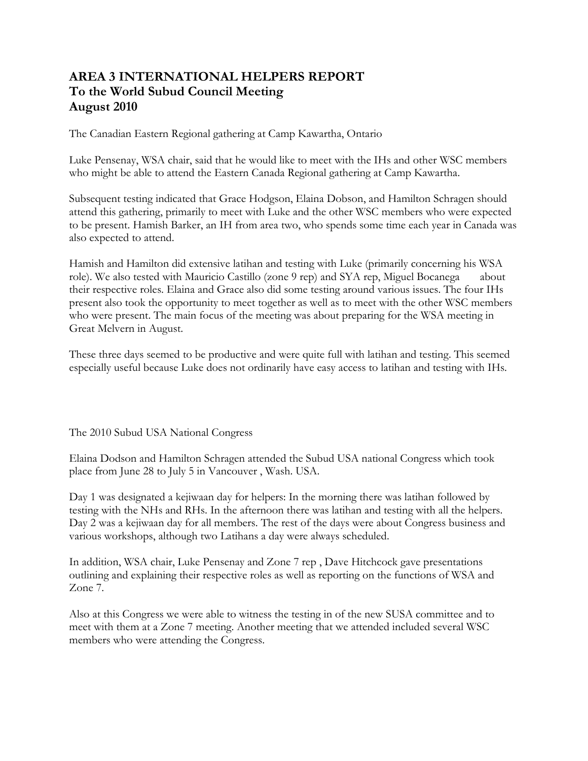## **AREA 3 INTERNATIONAL HELPERS REPORT To the World Subud Council Meeting August 2010**

The Canadian Eastern Regional gathering at Camp Kawartha, Ontario

Luke Pensenay, WSA chair, said that he would like to meet with the IHs and other WSC members who might be able to attend the Eastern Canada Regional gathering at Camp Kawartha.

Subsequent testing indicated that Grace Hodgson, Elaina Dobson, and Hamilton Schragen should attend this gathering, primarily to meet with Luke and the other WSC members who were expected to be present. Hamish Barker, an IH from area two, who spends some time each year in Canada was also expected to attend.

Hamish and Hamilton did extensive latihan and testing with Luke (primarily concerning his WSA role). We also tested with Mauricio Castillo (zone 9 rep) and SYA rep, Miguel Bocanega about their respective roles. Elaina and Grace also did some testing around various issues. The four IHs present also took the opportunity to meet together as well as to meet with the other WSC members who were present. The main focus of the meeting was about preparing for the WSA meeting in Great Melvern in August.

These three days seemed to be productive and were quite full with latihan and testing. This seemed especially useful because Luke does not ordinarily have easy access to latihan and testing with IHs.

The 2010 Subud USA National Congress

Elaina Dodson and Hamilton Schragen attended the Subud USA national Congress which took place from June 28 to July 5 in Vancouver , Wash. USA.

Day 1 was designated a kejiwaan day for helpers: In the morning there was latihan followed by testing with the NHs and RHs. In the afternoon there was latihan and testing with all the helpers. Day 2 was a kejiwaan day for all members. The rest of the days were about Congress business and various workshops, although two Latihans a day were always scheduled.

In addition, WSA chair, Luke Pensenay and Zone 7 rep , Dave Hitchcock gave presentations outlining and explaining their respective roles as well as reporting on the functions of WSA and Zone 7.

Also at this Congress we were able to witness the testing in of the new SUSA committee and to meet with them at a Zone 7 meeting. Another meeting that we attended included several WSC members who were attending the Congress.